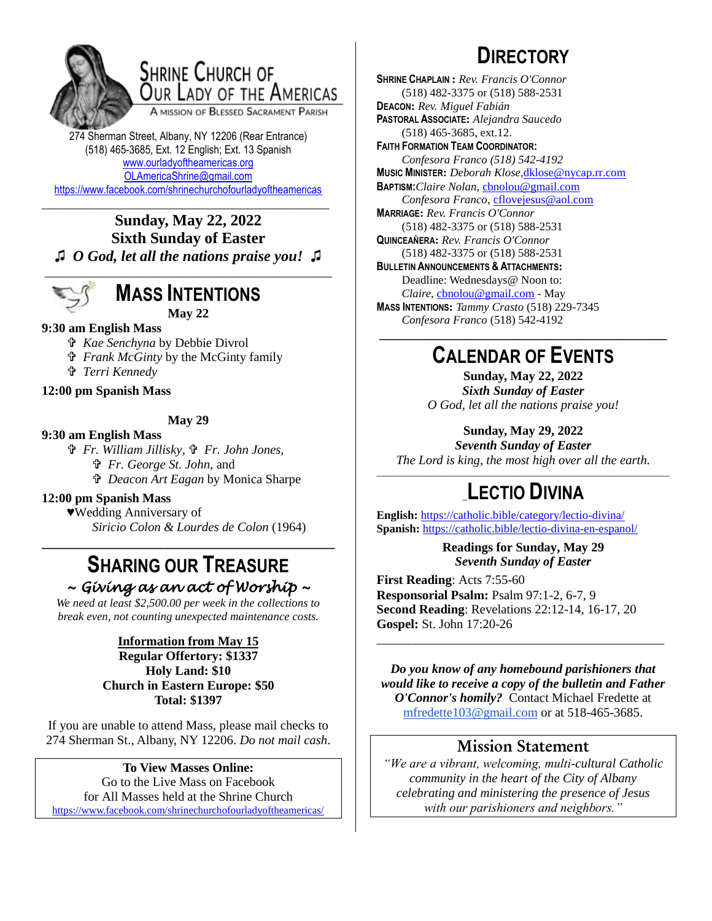

## SHRINE CHURCH OF OUR LADY OF THE AMERICAS

A MISSION OF BLESSED SACRAMENT PARISH

274 Sherman Street, Albany, NY 12206 (Rear Entrance) (518) 465-3685, Ext. 12 English; Ext. 13 Spanish [www.ourladyoftheamericas.org](http://www.ourladyoftheamericas.org/) [OLAmericaShrine@gmail.com](mailto:OLAmericaShrine@gmail.com) <https://www.facebook.com/shrinechurchofourladyoftheamericas>

### \_\_\_\_\_\_\_\_\_\_\_\_\_\_\_\_\_\_\_\_\_\_\_\_\_\_\_\_\_\_\_\_\_\_\_\_\_\_\_\_\_\_\_\_\_ **Sunday, May 22, 2022 Sixth Sunday of Easter ♫** *O God, let all the nations praise you!* **♫**



# **MASS INTENTIONS**

**May 22**

### **9:30 am English Mass**

- *Kae Senchyna* by Debbie Divrol
- *Frank McGinty* by the McGinty family
- *Terri Kennedy*

**12:00 pm Spanish Mass**

#### **May 29**

#### **9:30 am English Mass**

 *Fr. William Jillisky, Fr. John Jones,*

- *Fr. George St. John,* and
- *Deacon Art Eagan* by Monica Sharpe

### **12:00 pm Spanish Mass**

♥Wedding Anniversary of *Siricio Colon & Lourdes de Colon* (1964)

## **SHARING OUR TREASURE** *~ Giving as an act of Worship ~*

**\_\_\_\_\_\_\_\_\_\_\_\_\_\_\_\_\_\_\_\_\_\_\_\_\_\_\_\_\_\_\_\_\_\_\_\_\_\_\_\_\_\_**

*We need at least \$2,500.00 per week in the collections to break even, not counting unexpected maintenance costs.*

#### **Information from May 15 Regular Offertory: \$1337 Holy Land: \$10 Church in Eastern Europe: \$50 Total: \$1397**

If you are unable to attend Mass, please mail checks to 274 Sherman St., Albany, NY 12206. *Do not mail cash*.

#### **To View Masses Online:** Go to the Live Mass on Facebook for All Masses held at the Shrine Church <https://www.facebook.com/shrinechurchofourladyoftheamericas/>

# **DIRECTORY**

**SHRINE CHAPLAIN :** *Rev. Francis O'Connor* (518) 482-3375 or (518) 588-2531 **DEACON:** *Rev. Miguel Fabián* **PASTORAL ASSOCIATE:** *Alejandra Saucedo* (518) 465-3685, ext.12. **FAITH FORMATION TEAM COORDINATOR:** *Confesora Franco (518) 542-4192* **MUSIC MINISTER:** *Deborah Klose,*[dklose@nycap.rr.com](mailto:dklose@nycap.rr.com) **BAPTISM:***Claire Nolan*, [cbnolou@gmail.com](mailto:cbnolou@gmail.com) *Confesora Franco*, [cflovejesus@aol.com](mailto:cflovejesus@aol.com) **MARRIAGE:** *Rev. Francis O'Connor* (518) 482-3375 or (518) 588-2531 **QUINCEAÑERA:** *Rev. Francis O'Connor* (518) 482-3375 or (518) 588-2531 **BULLETIN ANNOUNCEMENTS & ATTACHMENTS:** Deadline: Wednesdays@ Noon to: *Claire,* [cbnolou@gmail.com](mailto:cbnolou@gmail.com) - May **MASS INTENTIONS:** *Tammy Crasto* (518) 229-7345 *Confesora Franco* (518) 542-4192 **\_\_\_\_\_\_\_\_\_\_\_\_\_\_\_\_\_\_\_\_\_\_\_\_\_\_\_\_\_\_\_\_\_\_\_\_\_\_\_\_\_\_\_\_\_**

## **CALENDAR OF EVENTS**

**Sunday, May 22, 2022** *Sixth Sunday of Easter O God, let all the nations praise you!*

## **Sunday, May 29, 2022**

*Seventh Sunday of Easter The Lord is king, the most high over all the earth.*

## \_\_\_\_\_\_\_\_\_\_\_\_\_\_\_\_\_\_\_\_\_\_\_\_\_\_\_\_\_\_\_\_\_\_\_\_\_\_\_\_\_\_\_\_\_\_\_\_\_\_\_\_\_\_\_\_\_\_\_\_\_\_\_ \_**LECTIO DIVINA**

**English:** <https://catholic.bible/category/lectio-divina/> **Spanish:** <https://catholic.bible/lectio-divina-en-espanol/>

> **Readings for Sunday, May 29** *Seventh Sunday of Easter*

**First Reading**: Acts 7:55-60 **Responsorial Psalm:** Psalm 97:1-2, 6-7, 9 **Second Reading**: Revelations 22:12-14, 16-17, 20 **Gospel:** St. John 17:20-26

*Do you know of any homebound parishioners that would like to receive a copy of the bulletin and Father O'Connor's homily?* Contact Michael Fredette at [mfredette103@gmail.com](mailto:mfredette103@gmail.com) or at 518-465-3685.

\_\_\_\_\_\_\_\_\_\_\_\_\_\_\_\_\_\_\_\_\_\_\_\_\_\_\_\_\_\_\_\_\_\_\_\_\_\_\_\_\_\_\_\_\_

## **Mission Statement**

*"We are a vibrant, welcoming, multi-cultural Catholic community in the heart of the City of Albany celebrating and ministering the presence of Jesus with our parishioners and neighbors."*